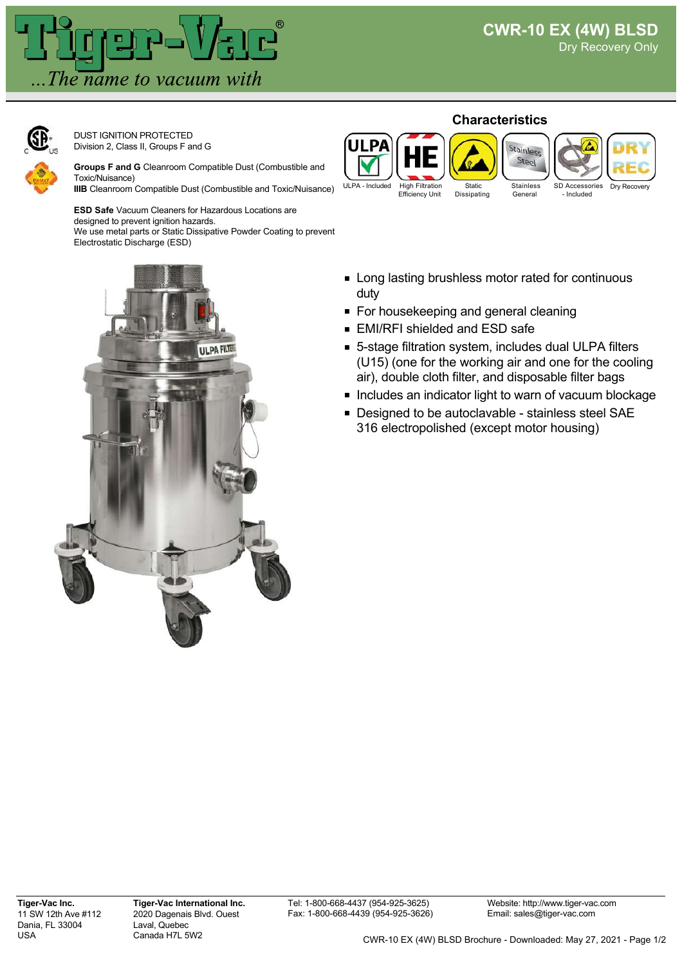

DUST IGNITION PROTECTED Division 2, Class II, Groups F and G

**Groups F and G** Cleanroom Compatible Dust (Combustible and Toxic/Nuisance)

**IIIB** Cleanroom Compatible Dust (Combustible and Toxic/Nuisance)

**ESD Safe** Vacuum Cleaners for Hazardous Locations are designed to prevent ignition hazards. We use metal parts or Static Dissipative Powder Coating to prevent Electrostatic Discharge (ESD)



- **EXECT:** Long lasting brushless motor rated for continuous duty
- For housekeeping and general cleaning
- EMI/RFI shielded and ESD safe
- 5-stage filtration system, includes dual ULPA filters (U15) (one for the working air and one for the cooling air), double cloth filter, and disposable filter bags
- Includes an indicator light to warn of vacuum blockage
- Designed to be autoclavable stainless steel SAE 316 electropolished (except motor housing)